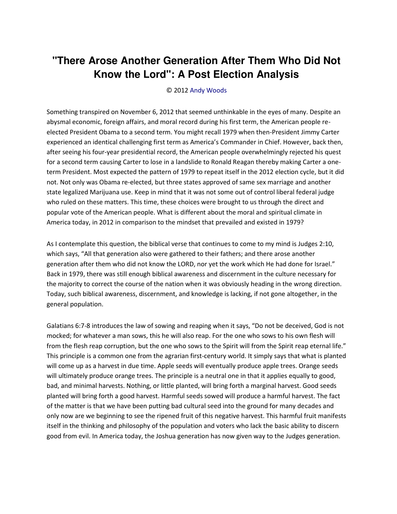## "There Arose Another Generation After Them Who Did Not Know the Lord": A Post Election Analysis

© 2012 Andy Woods

Something transpired on November 6, 2012 that seemed unthinkable in the eyes of many. Despite an abysmal economic, foreign affairs, and moral record during his first term, the American people reelected President Obama to a second term. You might recall 1979 when then-President Jimmy Carter experienced an identical challenging first term as America's Commander in Chief. However, back then, after seeing his four-year presidential record, the American people overwhelmingly rejected his quest for a second term causing Carter to lose in a landslide to Ronald Reagan thereby making Carter a oneterm President. Most expected the pattern of 1979 to repeat itself in the 2012 election cycle, but it did not. Not only was Obama re-elected, but three states approved of same sex marriage and another state legalized Marijuana use. Keep in mind that it was not some out of control liberal federal judge who ruled on these matters. This time, these choices were brought to us through the direct and popular vote of the American people. What is different about the moral and spiritual climate in America today, in 2012 in comparison to the mindset that prevailed and existed in 1979?

As I contemplate this question, the biblical verse that continues to come to my mind is Judges 2:10, which says, "All that generation also were gathered to their fathers; and there arose another generation after them who did not know the LORD, nor yet the work which He had done for Israel." Back in 1979, there was still enough biblical awareness and discernment in the culture necessary for the majority to correct the course of the nation when it was obviously heading in the wrong direction. Today, such biblical awareness, discernment, and knowledge is lacking, if not gone altogether, in the general population.

Galatians 6:7-8 introduces the law of sowing and reaping when it says, "Do not be deceived, God is not mocked; for whatever a man sows, this he will also reap. For the one who sows to his own flesh will from the flesh reap corruption, but the one who sows to the Spirit will from the Spirit reap eternal life." This principle is a common one from the agrarian first-century world. It simply says that what is planted will come up as a harvest in due time. Apple seeds will eventually produce apple trees. Orange seeds will ultimately produce orange trees. The principle is a neutral one in that it applies equally to good, bad, and minimal harvests. Nothing, or little planted, will bring forth a marginal harvest. Good seeds planted will bring forth a good harvest. Harmful seeds sowed will produce a harmful harvest. The fact of the matter is that we have been putting bad cultural seed into the ground for many decades and only now are we beginning to see the ripened fruit of this negative harvest. This harmful fruit manifests itself in the thinking and philosophy of the population and voters who lack the basic ability to discern good from evil. In America today, the Joshua generation has now given way to the Judges generation.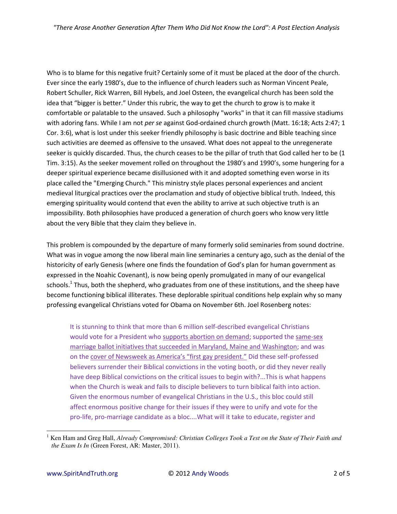Who is to blame for this negative fruit? Certainly some of it must be placed at the door of the church. Ever since the early 1980's, due to the influence of church leaders such as Norman Vincent Peale, Robert Schuller, Rick Warren, Bill Hybels, and Joel Osteen, the evangelical church has been sold the idea that "bigger is better." Under this rubric, the way to get the church to grow is to make it comfortable or palatable to the unsaved. Such a philosophy "works" in that it can fill massive stadiums with adoring fans. While I am not per se against God-ordained church growth (Matt. 16:18; Acts 2:47; 1 Cor. 3:6), what is lost under this seeker friendly philosophy is basic doctrine and Bible teaching since such activities are deemed as offensive to the unsaved. What does not appeal to the unregenerate seeker is quickly discarded. Thus, the church ceases to be the pillar of truth that God called her to be (1 Tim. 3:15). As the seeker movement rolled on throughout the 1980's and 1990's, some hungering for a deeper spiritual experience became disillusioned with it and adopted something even worse in its place called the "Emerging Church." This ministry style places personal experiences and ancient medieval liturgical practices over the proclamation and study of objective biblical truth. Indeed, this emerging spirituality would contend that even the ability to arrive at such objective truth is an impossibility. Both philosophies have produced a generation of church goers who know very little about the very Bible that they claim they believe in.

This problem is compounded by the departure of many formerly solid seminaries from sound doctrine. What was in vogue among the now liberal main line seminaries a century ago, such as the denial of the historicity of early Genesis (where one finds the foundation of God's plan for human government as expressed in the Noahic Covenant), is now being openly promulgated in many of our evangelical schools.<sup>1</sup> Thus, both the shepherd, who graduates from one of these institutions, and the sheep have become functioning biblical illiterates. These deplorable spiritual conditions help explain why so many professing evangelical Christians voted for Obama on November 6th. Joel Rosenberg notes:

It is stunning to think that more than 6 million self-described evangelical Christians would vote for a President who supports abortion on demand; supported the same-sex marriage ballot initiatives that succeeded in Maryland, Maine and Washington; and was on the cover of Newsweek as America's "first gay president." Did these self-professed believers surrender their Biblical convictions in the voting booth, or did they never really have deep Biblical convictions on the critical issues to begin with?...This is what happens when the Church is weak and fails to disciple believers to turn biblical faith into action. Given the enormous number of evangelical Christians in the U.S., this bloc could still affect enormous positive change for their issues if they were to unify and vote for the pro-life, pro-marriage candidate as a bloc....What will it take to educate, register and

Ken Ham and Greg Hall, Already Compromised: Christian Colleges Took a Test on the State of Their Faith and the Exam Is In (Green Forest, AR: Master, 2011).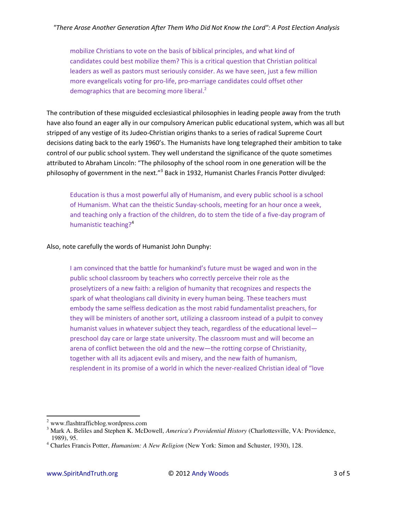mobilize Christians to vote on the basis of biblical principles, and what kind of candidates could best mobilize them? This is a critical question that Christian political leaders as well as pastors must seriously consider. As we have seen, just a few million more evangelicals voting for pro-life, pro-marriage candidates could offset other demographics that are becoming more liberal.<sup>2</sup>

The contribution of these misguided ecclesiastical philosophies in leading people away from the truth have also found an eager ally in our compulsory American public educational system, which was all but stripped of any vestige of its Judeo-Christian origins thanks to a series of radical Supreme Court decisions dating back to the early 1960's. The Humanists have long telegraphed their ambition to take control of our public school system. They well understand the significance of the quote sometimes attributed to Abraham Lincoln: "The philosophy of the school room in one generation will be the philosophy of government in the next."<sup>3</sup> Back in 1932, Humanist Charles Francis Potter divulged:

Education is thus a most powerful ally of Humanism, and every public school is a school of Humanism. What can the theistic Sunday-schools, meeting for an hour once a week, and teaching only a fraction of the children, do to stem the tide of a five-day program of humanistic teaching?<sup>4</sup>

Also, note carefully the words of Humanist John Dunphy:

I am convinced that the battle for humankind's future must be waged and won in the public school classroom by teachers who correctly perceive their role as the proselytizers of a new faith: a religion of humanity that recognizes and respects the spark of what theologians call divinity in every human being. These teachers must embody the same selfless dedication as the most rabid fundamentalist preachers, for they will be ministers of another sort, utilizing a classroom instead of a pulpit to convey humanist values in whatever subject they teach, regardless of the educational levelpreschool day care or large state university. The classroom must and will become an arena of conflict between the old and the new-the rotting corpse of Christianity, together with all its adjacent evils and misery, and the new faith of humanism, resplendent in its promise of a world in which the never-realized Christian ideal of "love

 $2$  www.flashtrafficblog.wordpress.com

<sup>&</sup>lt;sup>3</sup> Mark A. Beliles and Stephen K. McDowell, America's Providential History (Charlottesville, VA: Providence, 1989), 95.

<sup>&</sup>lt;sup>4</sup> Charles Francis Potter, *Humanism: A New Religion* (New York: Simon and Schuster, 1930), 128.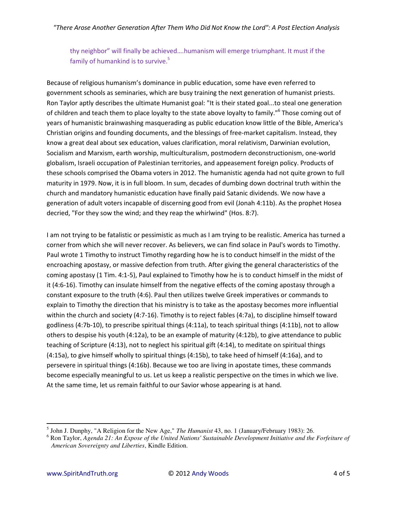thy neighbor" will finally be achieved....humanism will emerge triumphant. It must if the family of humankind is to survive.<sup>5</sup>

Because of religious humanism's dominance in public education, some have even referred to government schools as seminaries, which are busy training the next generation of humanist priests. Ron Taylor aptly describes the ultimate Humanist goal: "It is their stated goal...to steal one generation of children and teach them to place loyalty to the state above loyalty to family."<sup>6</sup> Those coming out of years of humanistic brainwashing masquerading as public education know little of the Bible, America's Christian origins and founding documents, and the blessings of free-market capitalism. Instead, they know a great deal about sex education, values clarification, moral relativism, Darwinian evolution, Socialism and Marxism, earth worship, multiculturalism, postmodern deconstructionism, one-world globalism, Israeli occupation of Palestinian territories, and appeasement foreign policy. Products of these schools comprised the Obama voters in 2012. The humanistic agenda had not quite grown to full maturity in 1979. Now, it is in full bloom. In sum, decades of dumbing down doctrinal truth within the church and mandatory humanistic education have finally paid Satanic dividends. We now have a generation of adult voters incapable of discerning good from evil (Jonah 4:11b). As the prophet Hosea decried, "For they sow the wind; and they reap the whirlwind" (Hos. 8:7).

I am not trying to be fatalistic or pessimistic as much as I am trying to be realistic. America has turned a corner from which she will never recover. As believers, we can find solace in Paul's words to Timothy. Paul wrote 1 Timothy to instruct Timothy regarding how he is to conduct himself in the midst of the encroaching apostasy, or massive defection from truth. After giving the general characteristics of the coming apostasy (1 Tim. 4:1-5), Paul explained to Timothy how he is to conduct himself in the midst of it (4:6-16). Timothy can insulate himself from the negative effects of the coming apostasy through a constant exposure to the truth (4:6). Paul then utilizes twelve Greek imperatives or commands to explain to Timothy the direction that his ministry is to take as the apostasy becomes more influential within the church and society (4:7-16). Timothy is to reject fables (4:7a), to discipline himself toward godliness (4:7b-10), to prescribe spiritual things (4:11a), to teach spiritual things (4:11b), not to allow others to despise his youth (4:12a), to be an example of maturity (4:12b), to give attendance to public teaching of Scripture (4:13), not to neglect his spiritual gift (4:14), to meditate on spiritual things (4:15a), to give himself wholly to spiritual things (4:15b), to take heed of himself (4:16a), and to persevere in spiritual things (4:16b). Because we too are living in apostate times, these commands become especially meaningful to us. Let us keep a realistic perspective on the times in which we live. At the same time, let us remain faithful to our Savior whose appearing is at hand.

 $<sup>5</sup>$  John J. Dunphy, "A Religion for the New Age," The Humanist 43, no. 1 (January/February 1983): 26.</sup>

 $6$  Ron Taylor, Agenda 21: An Expose of the United Nations' Sustainable Development Initiative and the Forfeiture of American Sovereignty and Liberties, Kindle Edition.